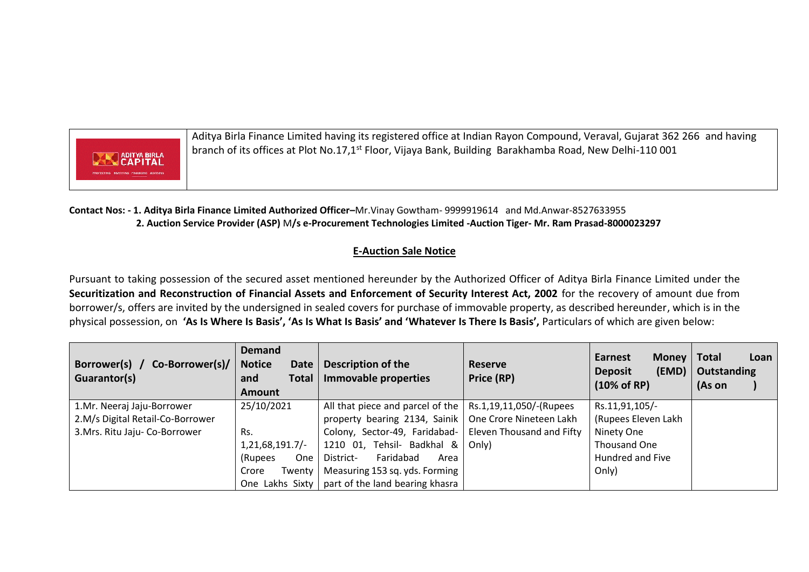

Aditya Birla Finance Limited having its registered office at Indian Rayon Compound, Veraval, Gujarat 362 266 and having branch of its offices at Plot No.17,1<sup>st</sup> Floor, Vijaya Bank, Building Barakhamba Road, New Delhi-110 001

**Contact Nos: - 1. Aditya Birla Finance Limited Authorized Officer–**Mr.Vinay Gowtham- 9999919614 and Md.Anwar-8527633955  **2. Auction Service Provider (ASP)** M**/s e-Procurement Technologies Limited -Auction Tiger- Mr. Ram Prasad-8000023297**

## **E-Auction Sale Notice**

Pursuant to taking possession of the secured asset mentioned hereunder by the Authorized Officer of Aditya Birla Finance Limited under the **Securitization and Reconstruction of Financial Assets and Enforcement of Security Interest Act, 2002** for the recovery of amount due from borrower/s, offers are invited by the undersigned in sealed covers for purchase of immovable property, as described hereunder, which is in the physical possession, on **'As Is Where Is Basis', 'As Is What Is Basis' and 'Whatever Is There Is Basis',** Particulars of which are given below:

| Borrower(s) /<br>Co-Borrower(s)/<br>Guarantor(s) | <b>Demand</b><br><b>Notice</b><br><b>Date</b><br><b>Total</b><br>and<br><b>Amount</b> | Description of the<br>Immovable properties              | <b>Reserve</b><br>Price (RP) | <b>Earnest</b><br>Money  <br>(EMD)<br><b>Deposit</b><br>$(10\% \text{ of RP})$ | <b>Total</b><br>Loan<br>Outstanding<br>(As on |
|--------------------------------------------------|---------------------------------------------------------------------------------------|---------------------------------------------------------|------------------------------|--------------------------------------------------------------------------------|-----------------------------------------------|
| 1.Mr. Neeraj Jaju-Borrower                       | 25/10/2021                                                                            | All that piece and parcel of the                        | Rs.1,19,11,050/-(Rupees      | Rs.11,91,105/-                                                                 |                                               |
| 2.M/s Digital Retail-Co-Borrower                 |                                                                                       | property bearing 2134, Sainik   One Crore Nineteen Lakh |                              | (Rupees Eleven Lakh                                                            |                                               |
| 3. Mrs. Ritu Jaju- Co-Borrower                   | Rs.                                                                                   | Colony, Sector-49, Faridabad-                           | Eleven Thousand and Fifty    | Ninety One                                                                     |                                               |
|                                                  | 1,21,68,191.7/                                                                        | 1210 01, Tehsil- Badkhal &                              | Only)                        | Thousand One                                                                   |                                               |
|                                                  | <b>One</b><br>(Rupees                                                                 | Faridabad<br>District-<br>Area                          |                              | Hundred and Five                                                               |                                               |
|                                                  | Crore<br>Twenty                                                                       | Measuring 153 sq. yds. Forming                          |                              | Only)                                                                          |                                               |
|                                                  | One Lakhs Sixty                                                                       | part of the land bearing khasra                         |                              |                                                                                |                                               |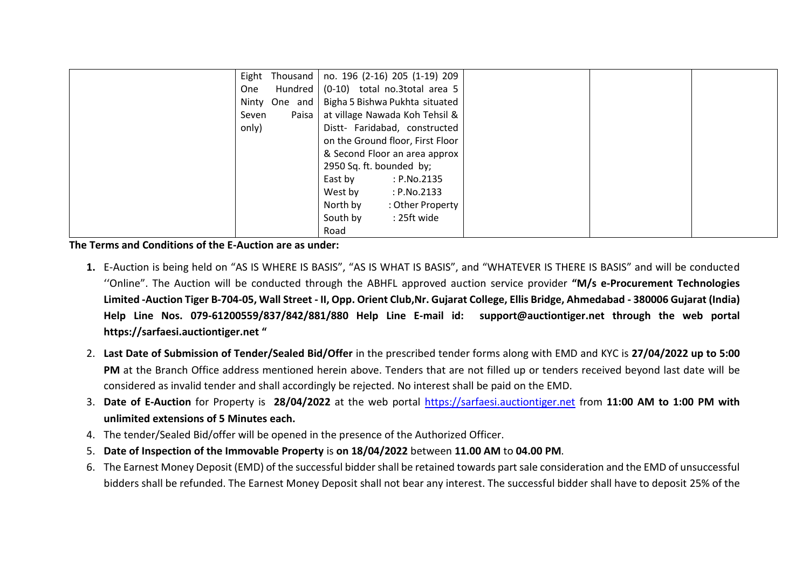|                  | Eight Thousand   no. 196 (2-16) 205 (1-19) 209 |
|------------------|------------------------------------------------|
| Hundred  <br>One | (0-10) total no.3total area 5                  |
| Ninty One and    | Bigha 5 Bishwa Pukhta situated                 |
| Paisa<br>Seven   | at village Nawada Koh Tehsil &                 |
| only)            | Distt- Faridabad, constructed                  |
|                  | on the Ground floor, First Floor               |
|                  | & Second Floor an area approx                  |
|                  | 2950 Sq. ft. bounded by;                       |
|                  | East by<br>: P.No.2135                         |
|                  | West by<br>: P.No.2133                         |
|                  | North by<br>: Other Property                   |
|                  | South by<br>: 25ft wide                        |
|                  | Road                                           |

**The Terms and Conditions of the E-Auction are as under:** 

- **1.** E-Auction is being held on "AS IS WHERE IS BASIS", "AS IS WHAT IS BASIS", and "WHATEVER IS THERE IS BASIS" and will be conducted ''Online". The Auction will be conducted through the ABHFL approved auction service provider **"M/s e-Procurement Technologies Limited -Auction Tiger B-704-05, Wall Street - II, Opp. Orient Club,Nr. Gujarat College, Ellis Bridge, Ahmedabad - 380006 Gujarat (India) Help Line Nos. 079-61200559/837/842/881/880 Help Line E-mail id: [support@auctiontiger.net](mailto:support@auctiontiger.net) through the web portal [https://sarfaesi.auctiontiger.net](https://sarfaesi.auctiontiger.net/) "**
- 2. **Last Date of Submission of Tender/Sealed Bid/Offer** in the prescribed tender forms along with EMD and KYC is **27/04/2022 up to 5:00 PM** at the Branch Office address mentioned herein above. Tenders that are not filled up or tenders received beyond last date will be considered as invalid tender and shall accordingly be rejected. No interest shall be paid on the EMD.
- 3. **Date of E-Auction** for Property is **28/04/2022** at the web portal [https://sarfaesi.auctiontiger.net](https://sarfaesi.auctiontiger.net/) from **11:00 AM to 1:00 PM with unlimited extensions of 5 Minutes each.**
- 4. The tender/Sealed Bid/offer will be opened in the presence of the Authorized Officer.
- 5. **Date of Inspection of the Immovable Property** is **on 18/04/2022** between **11.00 AM** to **04.00 PM**.
- 6. The Earnest Money Deposit (EMD) of the successful bidder shall be retained towards part sale consideration and the EMD of unsuccessful bidders shall be refunded. The Earnest Money Deposit shall not bear any interest. The successful bidder shall have to deposit 25% of the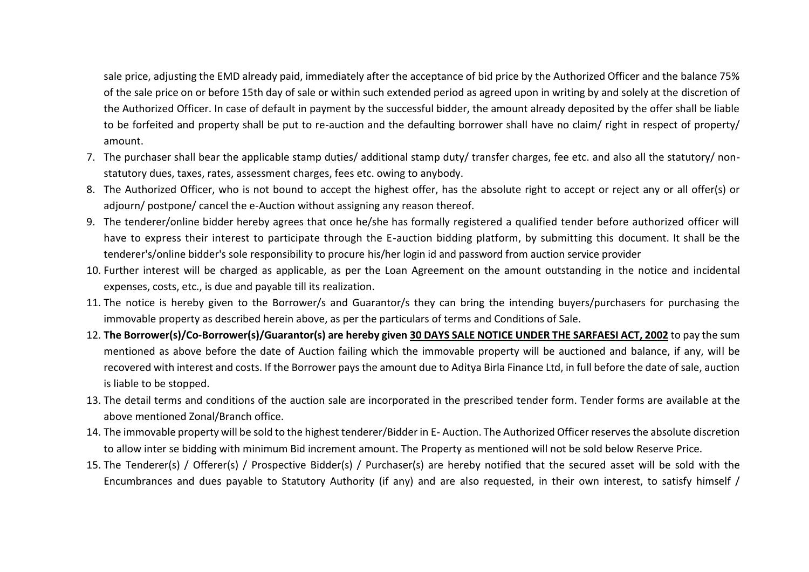sale price, adjusting the EMD already paid, immediately after the acceptance of bid price by the Authorized Officer and the balance 75% of the sale price on or before 15th day of sale or within such extended period as agreed upon in writing by and solely at the discretion of the Authorized Officer. In case of default in payment by the successful bidder, the amount already deposited by the offer shall be liable to be forfeited and property shall be put to re-auction and the defaulting borrower shall have no claim/ right in respect of property/ amount.

- 7. The purchaser shall bear the applicable stamp duties/ additional stamp duty/ transfer charges, fee etc. and also all the statutory/ nonstatutory dues, taxes, rates, assessment charges, fees etc. owing to anybody.
- 8. The Authorized Officer, who is not bound to accept the highest offer, has the absolute right to accept or reject any or all offer(s) or adjourn/ postpone/ cancel the e-Auction without assigning any reason thereof.
- 9. The tenderer/online bidder hereby agrees that once he/she has formally registered a qualified tender before authorized officer will have to express their interest to participate through the E-auction bidding platform, by submitting this document. It shall be the tenderer's/online bidder's sole responsibility to procure his/her login id and password from auction service provider
- 10. Further interest will be charged as applicable, as per the Loan Agreement on the amount outstanding in the notice and incidental expenses, costs, etc., is due and payable till its realization.
- 11. The notice is hereby given to the Borrower/s and Guarantor/s they can bring the intending buyers/purchasers for purchasing the immovable property as described herein above, as per the particulars of terms and Conditions of Sale.
- 12. **The Borrower(s)/Co-Borrower(s)/Guarantor(s) are hereby given 30 DAYS SALE NOTICE UNDER THE SARFAESI ACT, 2002** to pay the sum mentioned as above before the date of Auction failing which the immovable property will be auctioned and balance, if any, will be recovered with interest and costs. If the Borrower pays the amount due to Aditya Birla Finance Ltd, in full before the date of sale, auction is liable to be stopped.
- 13. The detail terms and conditions of the auction sale are incorporated in the prescribed tender form. Tender forms are available at the above mentioned Zonal/Branch office.
- 14. The immovable property will be sold to the highest tenderer/Bidder in E- Auction. The Authorized Officer reserves the absolute discretion to allow inter se bidding with minimum Bid increment amount. The Property as mentioned will not be sold below Reserve Price.
- 15. The Tenderer(s) / Offerer(s) / Prospective Bidder(s) / Purchaser(s) are hereby notified that the secured asset will be sold with the Encumbrances and dues payable to Statutory Authority (if any) and are also requested, in their own interest, to satisfy himself /